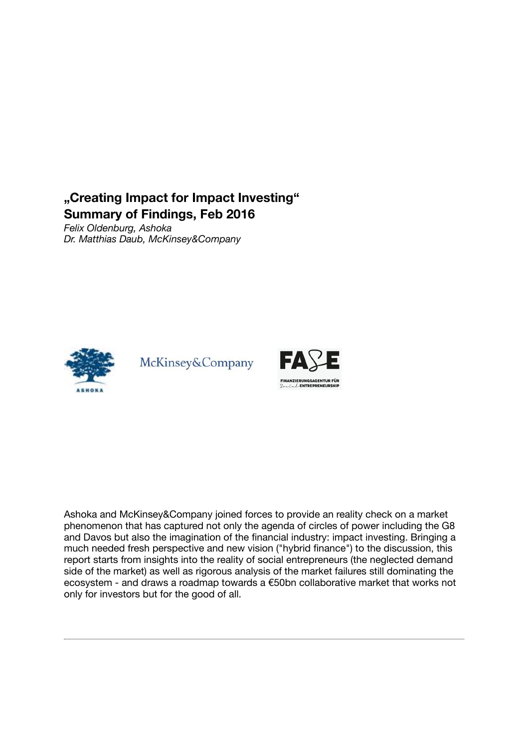# "Creating Impact for Impact Investing" Summary of Findings, Feb 2016

*Felix Oldenburg, Ashoka Dr. Matthias Daub, McKinsey&Company*



McKinsey&Company



Ashoka and McKinsey&Company joined forces to provide an reality check on a market phenomenon that has captured not only the agenda of circles of power including the G8 and Davos but also the imagination of the financial industry: impact investing. Bringing a much needed fresh perspective and new vision ("hybrid finance") to the discussion, this report starts from insights into the reality of social entrepreneurs (the neglected demand side of the market) as well as rigorous analysis of the market failures still dominating the ecosystem - and draws a roadmap towards a €50bn collaborative market that works not only for investors but for the good of all.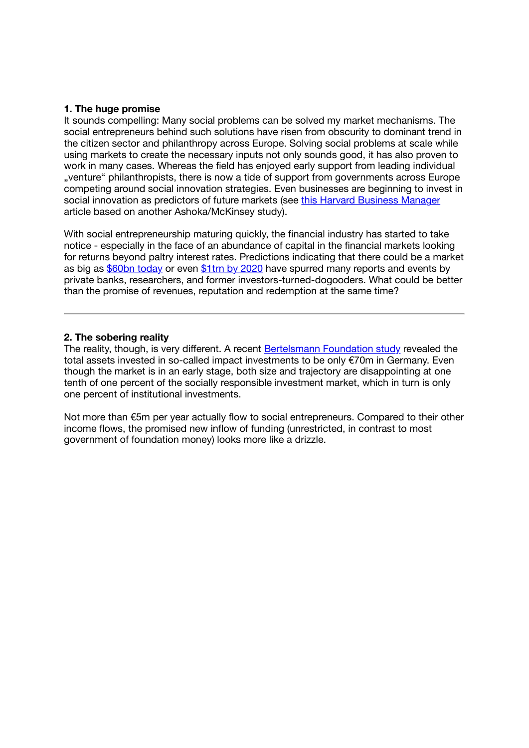## 1. The huge promise

It sounds compelling: Many social problems can be solved my market mechanisms. The social entrepreneurs behind such solutions have risen from obscurity to dominant trend in the citizen sector and philanthropy across Europe. Solving social problems at scale while using markets to create the necessary inputs not only sounds good, it has also proven to work in many cases. Whereas the field has enjoyed early support from leading individual "venture" philanthropists, there is now a tide of support from governments across Europe competing around social innovation strategies. Even businesses are beginning to invest in social innovation as predictors of future markets (see [this Harvard Business Manager](http://www.harvardbusinessmanager.de/blogs/ashoka-studie-ueber-sozialunternehmer-a-1041187.html) article based on another Ashoka/McKinsey study).

With social entrepreneurship maturing quickly, the financial industry has started to take notice - especially in the face of an abundance of capital in the financial markets looking for returns beyond paltry interest rates. Predictions indicating that there could be a market as big as [\\$60bn today](https://thegiin.org/impact-investing/need-to-know/) or even [\\$1trn by 2020](http://blueandgreentomorrow.com/features/why-impact-investment-could-soon-be-a-trillion-dollar-industry/) have spurred many reports and events by private banks, researchers, and former investors-turned-dogooders. What could be better than the promise of revenues, reputation and redemption at the same time?

## 2. The sobering reality

The reality, though, is very different. A recent [Bertelsmann Foundation study](https://www.bertelsmann-stiftung.de/en/publications/publication/did/impact-investing-in-deutschland/) revealed the total assets invested in so-called impact investments to be only €70m in Germany. Even though the market is in an early stage, both size and trajectory are disappointing at one tenth of one percent of the socially responsible investment market, which in turn is only one percent of institutional investments.

Not more than €5m per year actually flow to social entrepreneurs. Compared to their other income flows, the promised new inflow of funding (unrestricted, in contrast to most government of foundation money) looks more like a drizzle.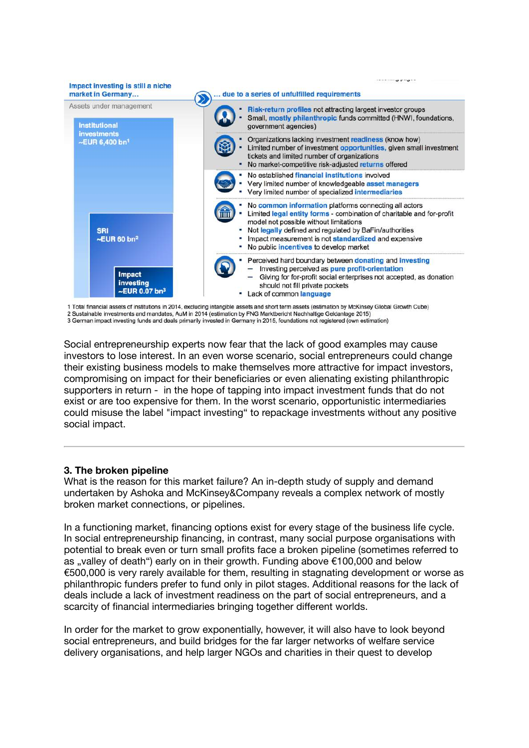

1 Total financial assets of institutions in 2014, excluding intangible assets and short term assets (estimation by McKinsey Global Growth Cube)

2 Sustainable investments and mandates, AuM in 2014 (estimation by FNG Marktbericht Nachhaltige Geldanlage 2015)

3 German impact investing funds and deals primarily invested in Germany in 2015, foundations not registered (own estimation)

Social entrepreneurship experts now fear that the lack of good examples may cause investors to lose interest. In an even worse scenario, social entrepreneurs could change their existing business models to make themselves more attractive for impact investors, compromising on impact for their beneficiaries or even alienating existing philanthropic supporters in return - in the hope of tapping into impact investment funds that do not exist or are too expensive for them. In the worst scenario, opportunistic intermediaries could misuse the label "impact investing" to repackage investments without any positive social impact.

#### 3. The broken pipeline

What is the reason for this market failure? An in-depth study of supply and demand undertaken by Ashoka and McKinsey&Company reveals a complex network of mostly broken market connections, or pipelines.

In a functioning market, financing options exist for every stage of the business life cycle. In social entrepreneurship financing, in contrast, many social purpose organisations with potential to break even or turn small profits face a broken pipeline (sometimes referred to as "valley of death") early on in their growth. Funding above €100,000 and below €500,000 is very rarely available for them, resulting in stagnating development or worse as philanthropic funders prefer to fund only in pilot stages. Additional reasons for the lack of deals include a lack of investment readiness on the part of social entrepreneurs, and a scarcity of financial intermediaries bringing together different worlds.

In order for the market to grow exponentially, however, it will also have to look beyond social entrepreneurs, and build bridges for the far larger networks of welfare service delivery organisations, and help larger NGOs and charities in their quest to develop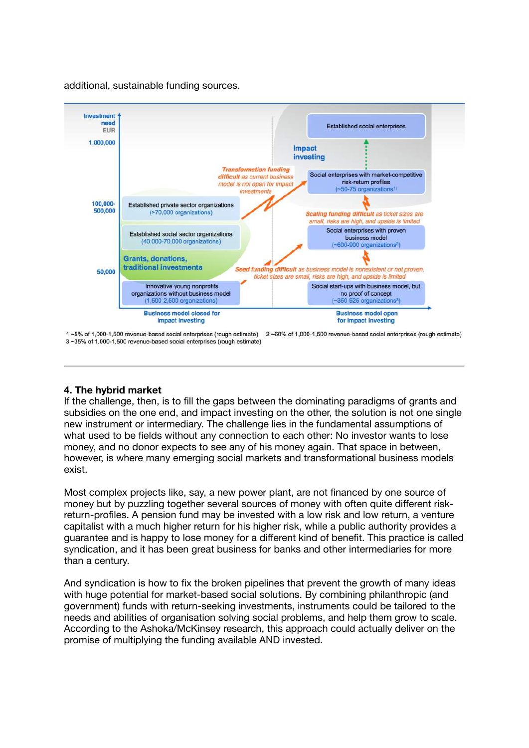additional, sustainable funding sources.



1~5% of 1,000-1,500 revenue-based social enterprises (rough estimate) 2~60% of 1,000-1,500 revenue-based social enterprises (rough estimate) 3~35% of 1,000-1,500 revenue-based social enterprises (rough estimate)

# 4. The hybrid market

If the challenge, then, is to fill the gaps between the dominating paradigms of grants and subsidies on the one end, and impact investing on the other, the solution is not one single new instrument or intermediary. The challenge lies in the fundamental assumptions of what used to be fields without any connection to each other: No investor wants to lose money, and no donor expects to see any of his money again. That space in between, however, is where many emerging social markets and transformational business models exist.

Most complex projects like, say, a new power plant, are not financed by one source of money but by puzzling together several sources of money with often quite different riskreturn-profiles. A pension fund may be invested with a low risk and low return, a venture capitalist with a much higher return for his higher risk, while a public authority provides a guarantee and is happy to lose money for a different kind of benefit. This practice is called syndication, and it has been great business for banks and other intermediaries for more than a century.

And syndication is how to fix the broken pipelines that prevent the growth of many ideas with huge potential for market-based social solutions. By combining philanthropic (and government) funds with return-seeking investments, instruments could be tailored to the needs and abilities of organisation solving social problems, and help them grow to scale. According to the Ashoka/McKinsey research, this approach could actually deliver on the promise of multiplying the funding available AND invested.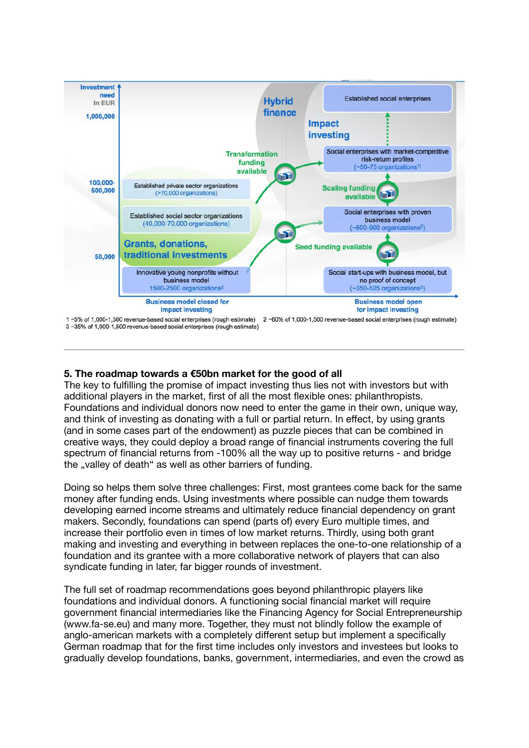

# 5. The roadmap towards a €50bn market for the good of all

The key to fulfilling the promise of impact investing thus lies not with investors but with additional players in the market, first of all the most flexible ones: philanthropists. Foundations and individual donors now need to enter the game in their own, unique way, and think of investing as donating with a full or partial return. In effect, by using grants (and in some cases part of the endowment) as puzzle pieces that can be combined in creative ways, they could deploy a broad range of financial instruments covering the full spectrum of financial returns from -100% all the way up to positive returns - and bridge the "valley of death" as well as other barriers of funding.

Doing so helps them solve three challenges: First, most grantees come back for the same money after funding ends. Using investments where possible can nudge them towards developing earned income streams and ultimately reduce financial dependency on grant makers. Secondly, foundations can spend (parts of) every Euro multiple times, and increase their portfolio even in times of low market returns. Thirdly, using both grant making and investing and everything in between replaces the one-to-one relationship of a foundation and its grantee with a more collaborative network of players that can also syndicate funding in later, far bigger rounds of investment.

The full set of roadmap recommendations goes beyond philanthropic players like foundations and individual donors. A functioning social financial market will require government financial intermediaries like the Financing Agency for Social Entrepreneurship (www.fa-se.eu) and many more. Together, they must not blindly follow the example of anglo-american markets with a completely different setup but implement a specifically German roadmap that for the first time includes only investors and investees but looks to gradually develop foundations, banks, government, intermediaries, and even the crowd as